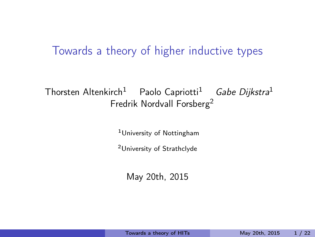#### <span id="page-0-0"></span>Towards a theory of higher inductive types

#### Thorsten Altenkirch<sup>1</sup> Paolo Capriotti<sup>1</sup> Gabe Dijkstra<sup>1</sup> Fredrik Nordvall Forsberg<sup>2</sup>

<sup>1</sup>University of Nottingham

<sup>2</sup>University of Strathclyde

May 20th, 2015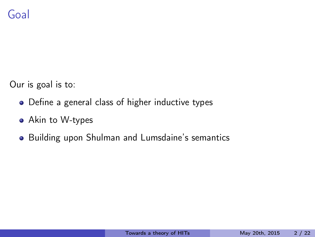Our is goal is to:

- Define a general class of higher inductive types
- Akin to W-types
- **•** Building upon Shulman and Lumsdaine's semantics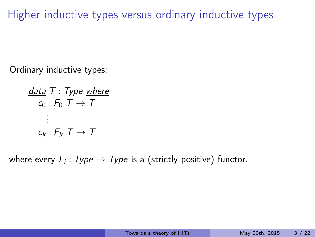Ordinary inductive types:

data  $T$  : Type where  $c_0$ :  $F_0$   $T \rightarrow T$ . . .  $c_k$  :  $F_k$   $T \rightarrow T$ 

where every  $F_i\colon Type\to Type$  is a (strictly positive) functor.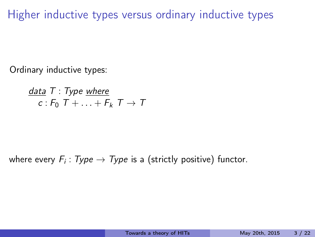Ordinary inductive types:

data  $T$  : Type where  $c: F_0$   $\overline{T} + \ldots + F_k$   $\overline{T} \rightarrow \overline{T}$ 

where every  $F_i\colon Type\to Type$  is a (strictly positive) functor.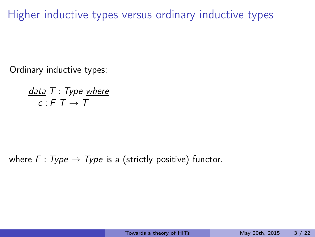Ordinary inductive types:

data  $T$  : Type where  $c : F T \rightarrow T$ 

where  $F: Type \rightarrow Type$  is a (strictly positive) functor.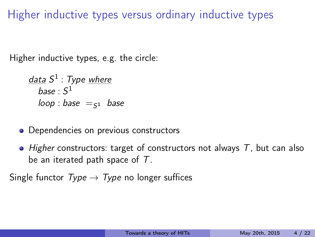Higher inductive types, e.g. the circle:

<u>data</u> S<sup>1</sup> : Type <u>where</u>  $base : S^1$ loop : base  $=$ <sub>51</sub> base

- Dependencies on previous constructors
- $\bullet$  Higher constructors: target of constructors not always T, but can also be an iterated path space of T.

Single functor  $Type \rightarrow Type$  no longer suffices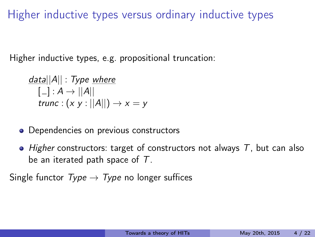Higher inductive types, e.g. propositional truncation:

 $data||A||$  : Type where  $[\_] : A \rightarrow ||A||$ trunc :  $(x y : ||A||) \rightarrow x = y$ 

- Dependencies on previous constructors
- $\bullet$  Higher constructors: target of constructors not always T, but can also be an iterated path space of T.

Single functor  $Type \rightarrow Type$  no longer suffices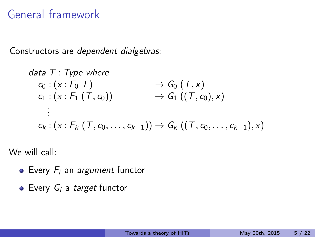## General framework

Constructors are dependent dialgebras:

$$
\frac{data T: Type \text{ where } C_0: (x : F_0 T) \longrightarrow G_0 (T, x) \n C_1: (x : F_1 (T, c_0)) \longrightarrow G_1 ((T, c_0), x) \n \vdots \n C_k: (x : F_k (T, c_0, \ldots, c_{k-1})) \rightarrow G_k ((T, c_0, \ldots, c_{k-1}), x)
$$

We will call:

- $\bullet$  Every  $F_i$  an *argument* functor
- $\bullet$  Every  $G_i$  a target functor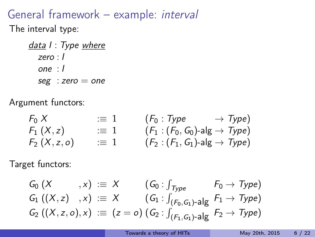## General framework – example: interval

The interval type:

data I : Type where zero : I one : I  $seg : zero = one$ 

Argument functors:

 $F_0 X$  :  $\equiv 1$   $(F_0 : Type \rightarrow Type)$  $F_1 (X, z)$  :  $\equiv 1$   $(F_1 : (F_0, G_0)$ -alg  $\rightarrow$  Type)  $F_2$   $(X, z, o)$   $\equiv 1$   $(F_2 : (F_1, G_1)$ -alg  $\rightarrow Type)$ 

Target functors:

$$
G_0(X, x) := X \t(G_0: \int_{Type} F_0 \to Type) G_1 ((X, z) , x) := X \t(G_1: \int_{(F_0, G_1) - \text{alg}} F_1 \to Type) G_2 ((X, z, o), x) := (z = o) (G_2: \int_{(F_1, G_1) - \text{alg}} F_2 \to Type)
$$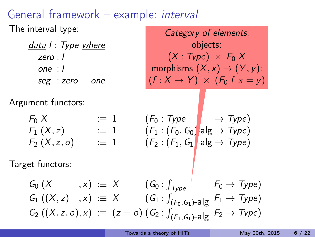## General framework – example: interval

The interval type:

| data I : Type where |                                            |  |
|---------------------|--------------------------------------------|--|
| zero : I            |                                            |  |
| one : l             |                                            |  |
|                     | $\mathop{\rm seg}\nolimits$ : zero $=$ one |  |

Argument functors:

Category of elements: objects:  $(X : Type) \times F_0 X$ morphisms  $(X, x) \rightarrow (Y, y)$ :  $(f : X \rightarrow Y) \times (F_0 f x = y)$ 

$$
F_0 X
$$
 := 1  $(F_0 : Type \rightarrow Type)$   
\n $F_1(X, z)$  := 1  $(F_1 : (F_0, G_0)$ alg  $\rightarrow Type)$   
\n $F_2(X, z, o)$  := 1  $(F_2 : (F_1, G_1)$ -alg  $\rightarrow Type)$ 

Target functors:

$$
G_0(X, x) := X \t(G_0: \int_{Type} F_0 \to Type) G_1 ((X, z) , x) := X \t(G_1: \int_{(F_0, G_1)-alg} F_1 \to Type) G_2 ((X, z, o), x) := (z = o) (G_2: \int_{(F_1, G_1)-alg} F_2 \to Type)
$$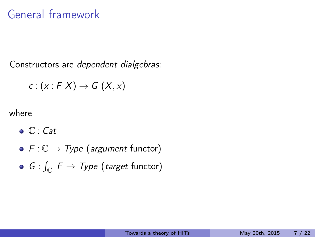## General framework

Constructors are dependent dialgebras:

$$
c:(x:F X)\to G(X,x)
$$

where

- $\bullet \mathbb{C}$  : Cat
- $F: \mathbb{C} \to Type$  (argument functor)
- $G: \int_{\mathbb{C}} \ F \to \mathcal{Ty}$ pe (target functor)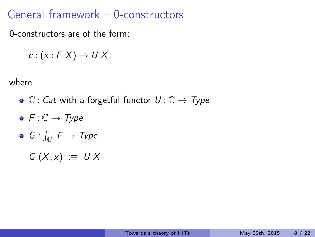### General framework – 0-constructors

0-constructors are of the form:

$$
c:(x:F\ X)\to U\ X
$$

where

- $\bullet \mathbb{C}$  : Cat with a forgetful functor  $U : \mathbb{C} \rightarrow Type$
- $F: \mathbb{C} \to Type$
- $G: \int_{\mathbb{C}} \ \digamma \rightarrow \mathcal{Ty}$ pe

 $G(X, x) := U X$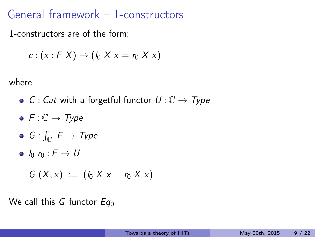## General framework – 1-constructors

1-constructors are of the form:

$$
c:(x:F X)\to (l_0 X x=r_0 X x)
$$

where

- C : Cat with a forgetful functor  $U: \mathbb{C} \to Type$
- $F: \mathbb{C} \to Type$
- $G: \int_{\mathbb{C}} \ \digamma \rightarrow \mathcal{Ty}$ pe

 $\bullet$   $l_0$   $r_0$  :  $F \rightarrow U$ 

$$
G(X,x) := (I_0 X x = r_0 X x)
$$

We call this G functor  $Eq_0$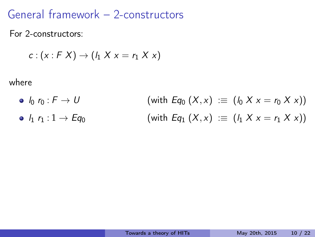### General framework – 2-constructors

For 2-constructors:

$$
c:(x:F X)\to (l_1 X x=r_1 X x)
$$

where

•  $l_0 r_0 : F \to U$  (with  $Eq_0 (X, x) := (l_0 X x = r_0 X x)$ ) •  $l_1$   $r_1 : 1 \to Eq_0$  (with  $Eq_1 (X, x) := (l_1 X x = r_1 X x)$ )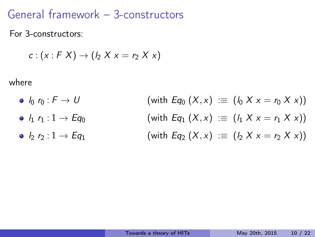### General framework – 3-constructors

For 3-constructors:

$$
c:(x:F X)\to (l_2 X x=r_2 X x)
$$

where

•  $l_0 r_0 : F \to U$  (with  $Eq_0 (X, x) := (l_0 X x = r_0 X x)$ ) •  $l_1 r_1 : 1 \to Eq_0$  (with  $Eq_1 (X, x) := (l_1 X x = r_1 X x)$ ) •  $l_2$   $r_2 : 1 \to Eq_1$  (with  $Eq_2 (X, x) := (l_2 X x = r_2 X x)$ )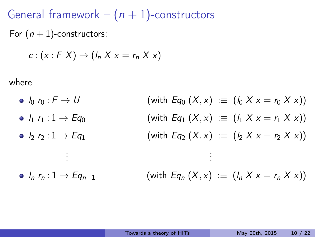General framework –  $(n + 1)$ -constructors For  $(n + 1)$ -constructors:

$$
c:(x:F X)\to (l_n X x=r_n X x)
$$

where

•  $\ln r_0 : F \to U$  (with  $Eq_0 (X, x) := (\ln X x = r_0 X x)$ ) •  $l_1 r_1 : 1 \to Eq_0$  (with  $Eq_1 (X, x) := (l_1 X x = r_1 X x)$ ) •  $l_2$   $r_2 : 1 \to Eq_1$  (with  $Eq_2 (X, x) := (l_2 X x = r_2 X x)$ ) . . . . . .  $\bullet$   $l_n$   $r_n$  : 1  $\rightarrow$  Eq<sub>n-1</sub> (with Eq<sub>n</sub>  $(X, x)$  :  $\equiv$   $(l_n X x = r_n X x)$ )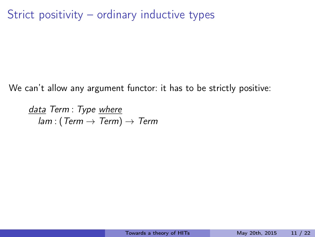Strict positivity – ordinary inductive types

We can't allow any argument functor: it has to be strictly positive:

data Term : Type where  $lam: (Term \rightarrow Term) \rightarrow Term$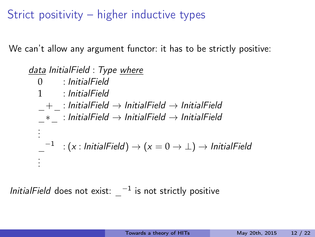Strict positivity – higher inductive types

We can't allow any argument functor: it has to be strictly positive:

data InitialField : Type where 0 : InitialField 1 : InitialField  $+$  : InitialField  $\rightarrow$  InitialField  $\rightarrow$  InitialField  $*$  : InitialField  $\rightarrow$  InitialField  $\rightarrow$  InitialField . . .  $\hspace{0.1 cm} \_^{-1} \hspace{0.1 cm} : (x: \text{\emph{InitialField}}) \rightarrow (x = 0 \rightarrow \bot) \rightarrow \text{\emph{InitialField}}$ . . .

InitialField does not exist:  $-1$  is not strictly positive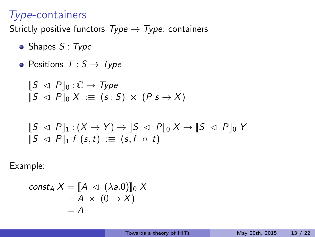#### Type-containers

Strictly positive functors  $Type \rightarrow Type$ : containers

- $\bullet$  Shapes S: Type
- Positions  $T : S \rightarrow Type$

$$
\begin{array}{l} [S \vartriangleleft P]_0 : \mathbb{C} \to \mathit{Type} \\ [S \vartriangleleft P]_0 X := (s : S) \times (P s \to X) \end{array}
$$

$$
\begin{array}{l} [S \vartriangleleft P]]_1:(X \to Y) \to [S \vartriangleleft P]]_0 \ X \to [S \vartriangleleft P]]_0 \ Y \\ [S \vartriangleleft P]]_1 \ f \ (s,t) \ := \ (s,f \circ t) \end{array}
$$

Example:

$$
\begin{aligned}\n\text{const}_A \, X &= \llbracket A \, \triangleleft \, (\lambda a.0) \rrbracket_0 \, X \\
&= A \, \times \, (0 \to X) \\
&= A\n\end{aligned}
$$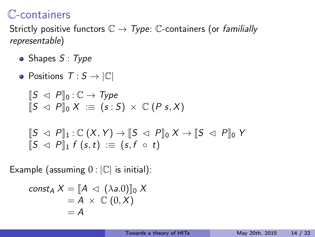### C-containers

Strictly positive functors  $\mathbb{C} \to \mathcal{T}$ ype:  $\mathbb{C}$ -containers (or familially representable)

- $\bullet$  Shapes S: Type
- Positions  $T : S \rightarrow |\mathbb{C}|$

$$
\begin{array}{l} [S \vartriangleleft P]_0 : \mathbb{C} \to \mathit{Type} \\ [S \vartriangleleft P]_0 X := (s : S) \times \mathbb{C} (P s, X) \end{array}
$$

$$
\begin{array}{l} [S \vartriangleleft P]]_1 : \mathbb{C} (X, Y) \to [S \vartriangleleft P]]_0 X \to [S \vartriangleleft P]]_0 Y \\ [S \vartriangleleft P]]_1 f (s, t) := (s, f \circ t) \end{array}
$$

Example (assuming  $0:|\mathbb{C}|$  is initial):

$$
\begin{aligned}\n\text{const}_A \, X &= [\![ A \, \lhd \, (\lambda a.0 ) ]\!]_0 \, X \\
&= A \, \times \, \mathbb{C} \, (0, X) \\
&= A\n\end{aligned}
$$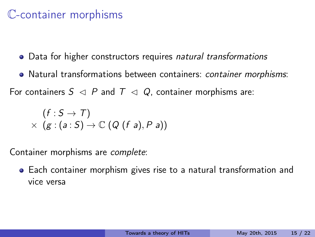### C-container morphisms

- Data for higher constructors requires natural transformations
- Natural transformations between containers: container morphisms:

For containers  $S \triangleleft P$  and  $T \triangleleft Q$ , container morphisms are:

$$
(f : S \to T)
$$
  
×  $(g : (a : S) \to \mathbb{C} (Q (f a), P a))$ 

Container morphisms are complete:

Each container morphism gives rise to a natural transformation and vice versa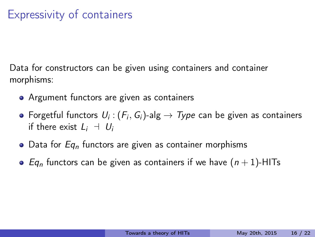## Expressivity of containers

Data for constructors can be given using containers and container morphisms:

- Argument functors are given as containers
- Forgetful functors  $\mathit{U}_{i}$  :  $(\mathit{F}_{i},\mathit{G}_{i})$ -alg  $\rightarrow$   $\mathit{Type}$  can be given as containers if there exist  $L_i \dashv U_i$
- $\bullet$  Data for Eq<sub>n</sub> functors are given as container morphisms
- Eq<sub>n</sub> functors can be given as containers if we have  $(n + 1)$ -HITs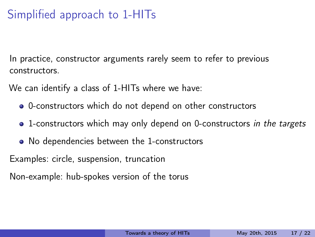# Simplified approach to 1-HITs

In practice, constructor arguments rarely seem to refer to previous constructors.

We can identify a class of 1-HITs where we have:

- 0-constructors which do not depend on other constructors
- 1-constructors which may only depend on 0-constructors in the targets
- No dependencies between the 1-constructors

Examples: circle, suspension, truncation

Non-example: hub-spokes version of the torus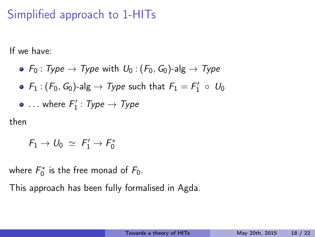# Simplified approach to 1-HITs

If we have:

• 
$$
F_0: Type \rightarrow Type
$$
 with  $U_0: (F_0, G_0)$ -alg  $\rightarrow Type$ 

$$
\bullet\ \ F_1: (F_0, G_0)\text{-alg} \to \mathcal{Ty}pe \ \text{such that}\ F_1 = F_1' \ \circ\ U_0
$$

• . . . where 
$$
F'_1
$$
 :  $Type \rightarrow Type$ 

then

$$
\textit{F}_1 \rightarrow \textit{U}_0 \; \simeq \; \textit{F}_1^\prime \rightarrow \textit{F}_0^*
$$

where  $F_0^*$  is the free monad of  $F_0$ .

This approach has been fully formalised in Agda.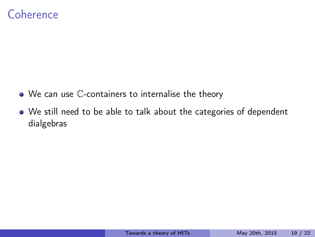#### Coherence

- We can use C-containers to internalise the theory
- We still need to be able to talk about the categories of dependent dialgebras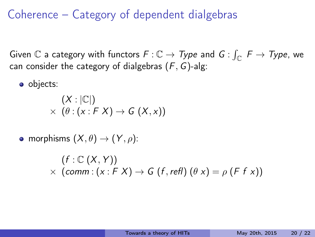### Coherence – Category of dependent dialgebras

Given  $\mathbb C$  a category with functors  $F:\mathbb C\to \mathcal{Ty}$ pe and  $G:\int_{\mathbb C}\ F\to \mathcal{Ty}$ pe, we can consider the category of dialgebras  $(F, G)$ -alg:

• objects:

$$
(X:|\mathbb{C}|) \times (\theta: (x:F X) \to G (X,x))
$$

• morphisms  $(X, \theta) \rightarrow (Y, \rho)$ :

$$
(f: \mathbb{C} (X, Y))
$$
  
× (comm: (x: F X) → G (f, refl) ( $\theta x$ ) =  $\rho$  (F f x))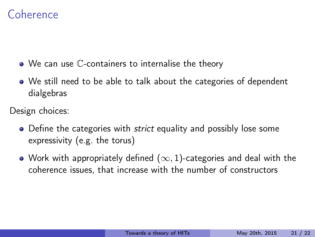### Coherence

- We can use C-containers to internalise the theory
- We still need to be able to talk about the categories of dependent dialgebras

Design choices:

- Define the categories with *strict* equality and possibly lose some expressivity (e.g. the torus)
- Work with appropriately defined  $(\infty, 1)$ -categories and deal with the coherence issues, that increase with the number of constructors